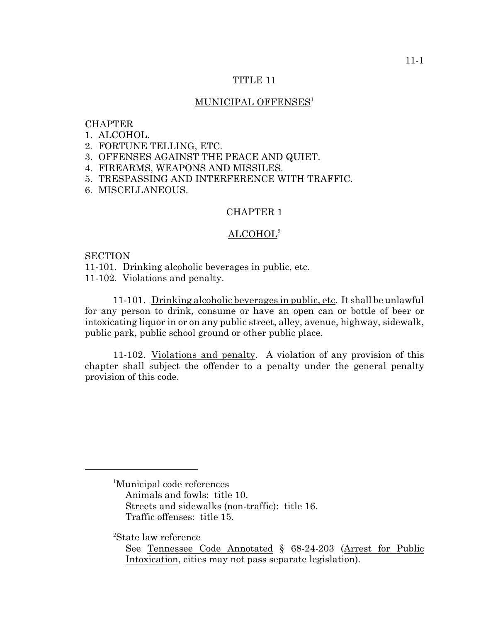## TITLE 11

# MUNICIPAL OFFENSES<sup>1</sup>

## **CHAPTER**

- 1. ALCOHOL.
- 2. FORTUNE TELLING, ETC.
- 3. OFFENSES AGAINST THE PEACE AND QUIET.
- 4. FIREARMS, WEAPONS AND MISSILES.
- 5. TRESPASSING AND INTERFERENCE WITH TRAFFIC.
- 6. MISCELLANEOUS.

# CHAPTER 1

# $\mathrm{ALCOHOL}^2$

**SECTION** 

11-101. Drinking alcoholic beverages in public, etc.

11-102. Violations and penalty.

11-101. Drinking alcoholic beverages in public, etc. It shall be unlawful for any person to drink, consume or have an open can or bottle of beer or intoxicating liquor in or on any public street, alley, avenue, highway, sidewalk, public park, public school ground or other public place.

11-102. Violations and penalty. A violation of any provision of this chapter shall subject the offender to a penalty under the general penalty provision of this code.

<sup>2</sup>State law reference

<sup>&</sup>lt;sup>1</sup>Municipal code references

Animals and fowls: title 10.

Streets and sidewalks (non-traffic): title 16.

Traffic offenses: title 15.

See Tennessee Code Annotated § 68-24-203 (Arrest for Public Intoxication, cities may not pass separate legislation).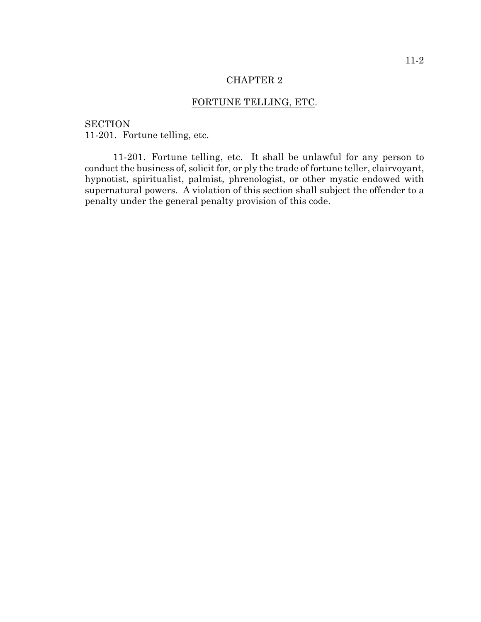# FORTUNE TELLING, ETC.

**SECTION** 11-201. Fortune telling, etc.

11-201. Fortune telling, etc. It shall be unlawful for any person to conduct the business of, solicit for, or ply the trade of fortune teller, clairvoyant, hypnotist, spiritualist, palmist, phrenologist, or other mystic endowed with supernatural powers. A violation of this section shall subject the offender to a penalty under the general penalty provision of this code.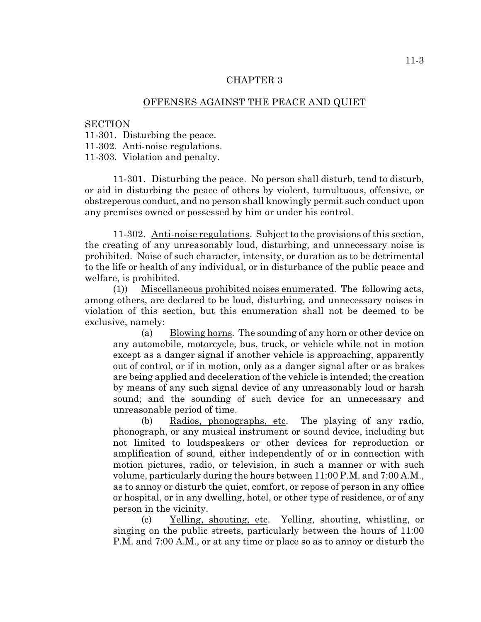# OFFENSES AGAINST THE PEACE AND QUIET

#### **SECTION**

11-301. Disturbing the peace.

11-302. Anti-noise regulations.

11-303. Violation and penalty.

11-301. Disturbing the peace. No person shall disturb, tend to disturb, or aid in disturbing the peace of others by violent, tumultuous, offensive, or obstreperous conduct, and no person shall knowingly permit such conduct upon any premises owned or possessed by him or under his control.

11-302. Anti-noise regulations. Subject to the provisions of this section, the creating of any unreasonably loud, disturbing, and unnecessary noise is prohibited. Noise of such character, intensity, or duration as to be detrimental to the life or health of any individual, or in disturbance of the public peace and welfare, is prohibited.

(1)) Miscellaneous prohibited noises enumerated. The following acts, among others, are declared to be loud, disturbing, and unnecessary noises in violation of this section, but this enumeration shall not be deemed to be exclusive, namely:

(a) Blowing horns. The sounding of any horn or other device on any automobile, motorcycle, bus, truck, or vehicle while not in motion except as a danger signal if another vehicle is approaching, apparently out of control, or if in motion, only as a danger signal after or as brakes are being applied and deceleration of the vehicle is intended; the creation by means of any such signal device of any unreasonably loud or harsh sound; and the sounding of such device for an unnecessary and unreasonable period of time.

(b) Radios, phonographs, etc. The playing of any radio, phonograph, or any musical instrument or sound device, including but not limited to loudspeakers or other devices for reproduction or amplification of sound, either independently of or in connection with motion pictures, radio, or television, in such a manner or with such volume, particularly during the hours between 11:00 P.M. and 7:00 A.M., as to annoy or disturb the quiet, comfort, or repose of person in any office or hospital, or in any dwelling, hotel, or other type of residence, or of any person in the vicinity.

(c) Yelling, shouting, etc. Yelling, shouting, whistling, or singing on the public streets, particularly between the hours of 11:00 P.M. and 7:00 A.M., or at any time or place so as to annoy or disturb the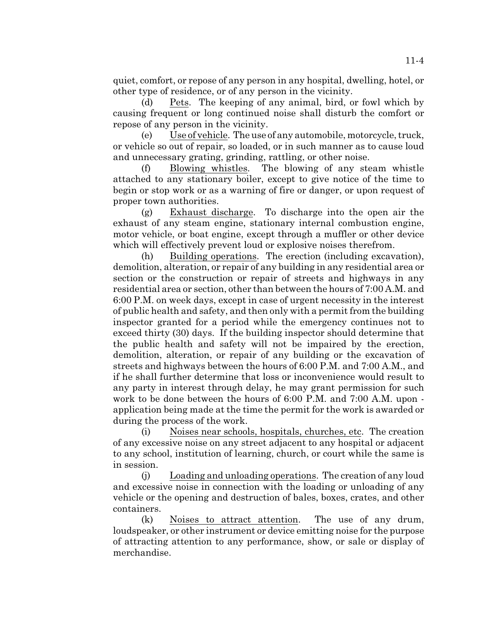quiet, comfort, or repose of any person in any hospital, dwelling, hotel, or other type of residence, or of any person in the vicinity.

(d) Pets. The keeping of any animal, bird, or fowl which by causing frequent or long continued noise shall disturb the comfort or repose of any person in the vicinity.

(e) Use of vehicle. The use of any automobile, motorcycle, truck, or vehicle so out of repair, so loaded, or in such manner as to cause loud and unnecessary grating, grinding, rattling, or other noise.

(f) Blowing whistles. The blowing of any steam whistle attached to any stationary boiler, except to give notice of the time to begin or stop work or as a warning of fire or danger, or upon request of proper town authorities.

(g) Exhaust discharge. To discharge into the open air the exhaust of any steam engine, stationary internal combustion engine, motor vehicle, or boat engine, except through a muffler or other device which will effectively prevent loud or explosive noises therefrom.

(h) Building operations. The erection (including excavation), demolition, alteration, or repair of any building in any residential area or section or the construction or repair of streets and highways in any residential area or section, other than between the hours of 7:00 A.M. and 6:00 P.M. on week days, except in case of urgent necessity in the interest of public health and safety, and then only with a permit from the building inspector granted for a period while the emergency continues not to exceed thirty (30) days. If the building inspector should determine that the public health and safety will not be impaired by the erection, demolition, alteration, or repair of any building or the excavation of streets and highways between the hours of 6:00 P.M. and 7:00 A.M., and if he shall further determine that loss or inconvenience would result to any party in interest through delay, he may grant permission for such work to be done between the hours of 6:00 P.M. and 7:00 A.M. upon application being made at the time the permit for the work is awarded or during the process of the work.

(i) Noises near schools, hospitals, churches, etc. The creation of any excessive noise on any street adjacent to any hospital or adjacent to any school, institution of learning, church, or court while the same is in session.

(j) Loading and unloading operations. The creation of any loud and excessive noise in connection with the loading or unloading of any vehicle or the opening and destruction of bales, boxes, crates, and other containers.

(k) Noises to attract attention. The use of any drum, loudspeaker, or other instrument or device emitting noise for the purpose of attracting attention to any performance, show, or sale or display of merchandise.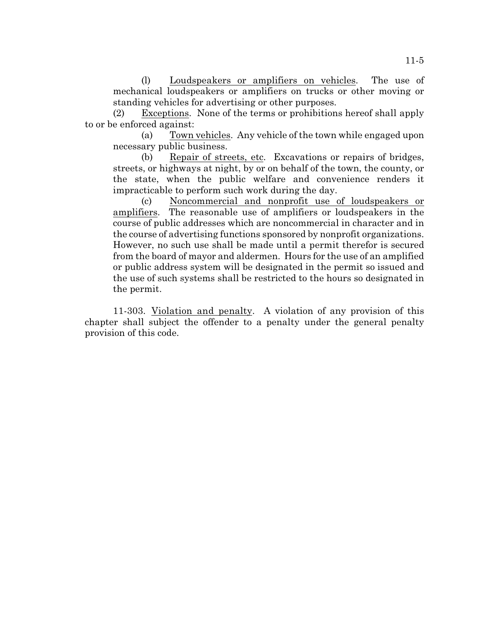(l) Loudspeakers or amplifiers on vehicles. The use of mechanical loudspeakers or amplifiers on trucks or other moving or standing vehicles for advertising or other purposes.

(2) Exceptions. None of the terms or prohibitions hereof shall apply to or be enforced against:

(a) Town vehicles. Any vehicle of the town while engaged upon necessary public business.

(b) Repair of streets, etc. Excavations or repairs of bridges, streets, or highways at night, by or on behalf of the town, the county, or the state, when the public welfare and convenience renders it impracticable to perform such work during the day.

(c) Noncommercial and nonprofit use of loudspeakers or amplifiers. The reasonable use of amplifiers or loudspeakers in the course of public addresses which are noncommercial in character and in the course of advertising functions sponsored by nonprofit organizations. However, no such use shall be made until a permit therefor is secured from the board of mayor and aldermen. Hours for the use of an amplified or public address system will be designated in the permit so issued and the use of such systems shall be restricted to the hours so designated in the permit.

11-303. Violation and penalty. A violation of any provision of this chapter shall subject the offender to a penalty under the general penalty provision of this code.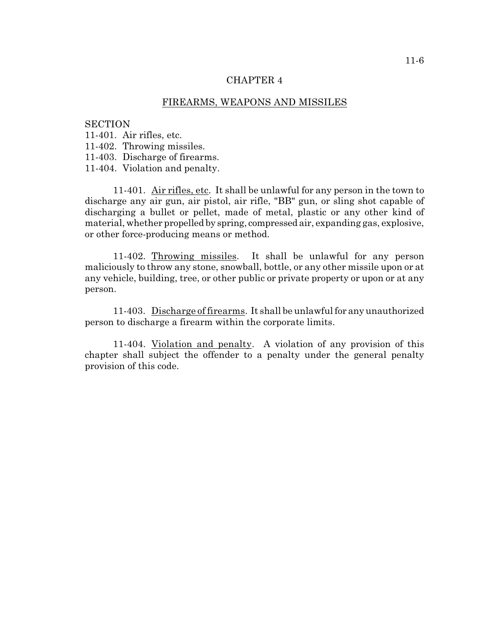# FIREARMS, WEAPONS AND MISSILES

#### **SECTION**

11-401. Air rifles, etc.

11-402. Throwing missiles.

11-403. Discharge of firearms.

11-404. Violation and penalty.

11-401. Air rifles, etc. It shall be unlawful for any person in the town to discharge any air gun, air pistol, air rifle, "BB" gun, or sling shot capable of discharging a bullet or pellet, made of metal, plastic or any other kind of material, whether propelled by spring, compressed air, expanding gas, explosive, or other force-producing means or method.

11-402. Throwing missiles. It shall be unlawful for any person maliciously to throw any stone, snowball, bottle, or any other missile upon or at any vehicle, building, tree, or other public or private property or upon or at any person.

11-403. Discharge of firearms. It shall be unlawful for any unauthorized person to discharge a firearm within the corporate limits.

11-404. Violation and penalty. A violation of any provision of this chapter shall subject the offender to a penalty under the general penalty provision of this code.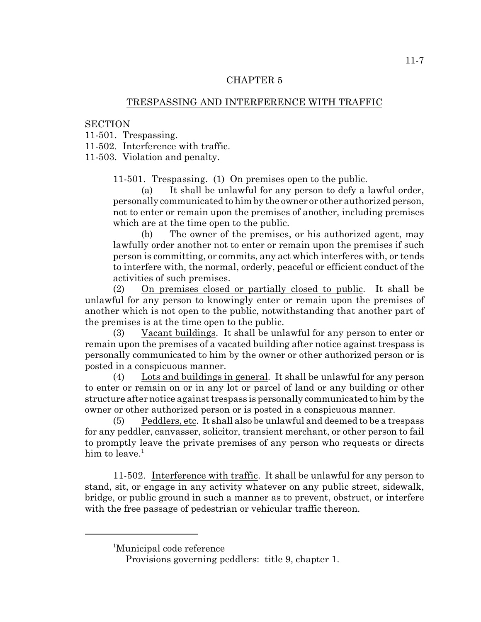# TRESPASSING AND INTERFERENCE WITH TRAFFIC

# **SECTION**

11-501. Trespassing.

11-502. Interference with traffic.

11-503. Violation and penalty.

11-501. Trespassing. (1) On premises open to the public.

(a) It shall be unlawful for any person to defy a lawful order, personally communicated to him by the owner or other authorized person, not to enter or remain upon the premises of another, including premises which are at the time open to the public.

(b) The owner of the premises, or his authorized agent, may lawfully order another not to enter or remain upon the premises if such person is committing, or commits, any act which interferes with, or tends to interfere with, the normal, orderly, peaceful or efficient conduct of the activities of such premises.

(2) On premises closed or partially closed to public. It shall be unlawful for any person to knowingly enter or remain upon the premises of another which is not open to the public, notwithstanding that another part of the premises is at the time open to the public.

(3) Vacant buildings. It shall be unlawful for any person to enter or remain upon the premises of a vacated building after notice against trespass is personally communicated to him by the owner or other authorized person or is posted in a conspicuous manner.

(4) Lots and buildings in general. It shall be unlawful for any person to enter or remain on or in any lot or parcel of land or any building or other structure after notice against trespass is personally communicated to him by the owner or other authorized person or is posted in a conspicuous manner.

(5) Peddlers, etc. It shall also be unlawful and deemed to be a trespass for any peddler, canvasser, solicitor, transient merchant, or other person to fail to promptly leave the private premises of any person who requests or directs him to leave. $1$ 

11-502. Interference with traffic. It shall be unlawful for any person to stand, sit, or engage in any activity whatever on any public street, sidewalk, bridge, or public ground in such a manner as to prevent, obstruct, or interfere with the free passage of pedestrian or vehicular traffic thereon.

<sup>&</sup>lt;sup>1</sup>Municipal code reference

Provisions governing peddlers: title 9, chapter 1.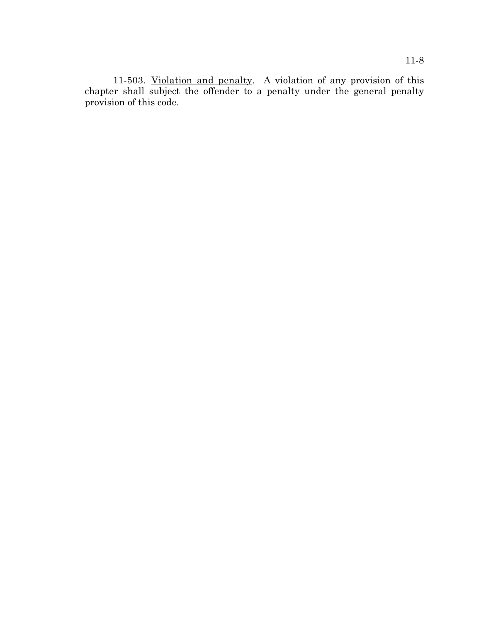11-503. Violation and penalty. A violation of any provision of this chapter shall subject the offender to a penalty under the general penalty provision of this code.